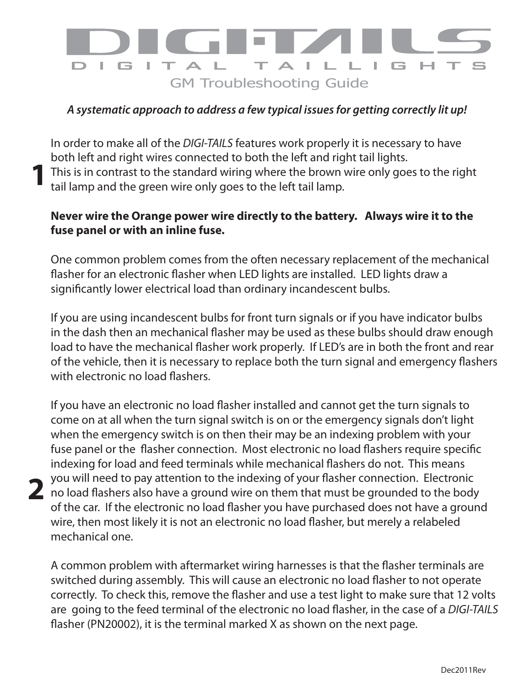

## *A systematic approach to address a few typical issues for getting correctly lit up!*

In order to make all of the *DIGI-TAILS* features work properly it is necessary to have both left and right wires connected to both the left and right tail lights. This is in contrast to the standard wiring where the brown wire only goes to the right tail lamp and the green wire only goes to the left tail lamp. **1**

## **Never wire the Orange power wire directly to the battery. Always wire it to the fuse panel or with an inline fuse.**

One common problem comes from the often necessary replacement of the mechanical flasher for an electronic flasher when LED lights are installed. LED lights draw a significantly lower electrical load than ordinary incandescent bulbs.

If you are using incandescent bulbs for front turn signals or if you have indicator bulbs in the dash then an mechanical flasher may be used as these bulbs should draw enough load to have the mechanical flasher work properly. If LED's are in both the front and rear of the vehicle, then it is necessary to replace both the turn signal and emergency flashers with electronic no load flashers.

If you have an electronic no load flasher installed and cannot get the turn signals to come on at all when the turn signal switch is on or the emergency signals don't light when the emergency switch is on then their may be an indexing problem with your fuse panel or the flasher connection. Most electronic no load flashers require specific indexing for load and feed terminals while mechanical flashers do not. This means you will need to pay attention to the indexing of your flasher connection. Electronic no load flashers also have a ground wire on them that must be grounded to the body of the car. If the electronic no load flasher you have purchased does not have a ground wire, then most likely it is not an electronic no load flasher, but merely a relabeled mechanical one.

**2**

A common problem with aftermarket wiring harnesses is that the flasher terminals are switched during assembly. This will cause an electronic no load flasher to not operate correctly. To check this, remove the flasher and use a test light to make sure that 12 volts are going to the feed terminal of the electronic no load flasher, in the case of a *DIGI-TAILS* flasher (PN20002), it is the terminal marked X as shown on the next page.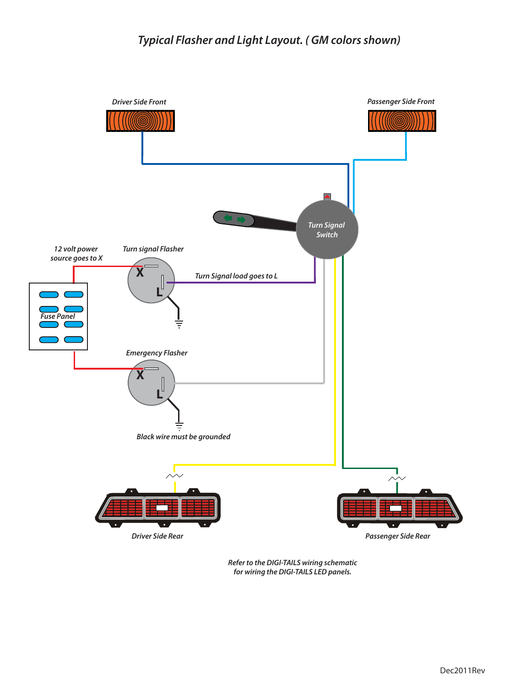

*Refer to the DIGI-TAILS wiring schematic for wiring the DIGI-TAILS LED panels.*